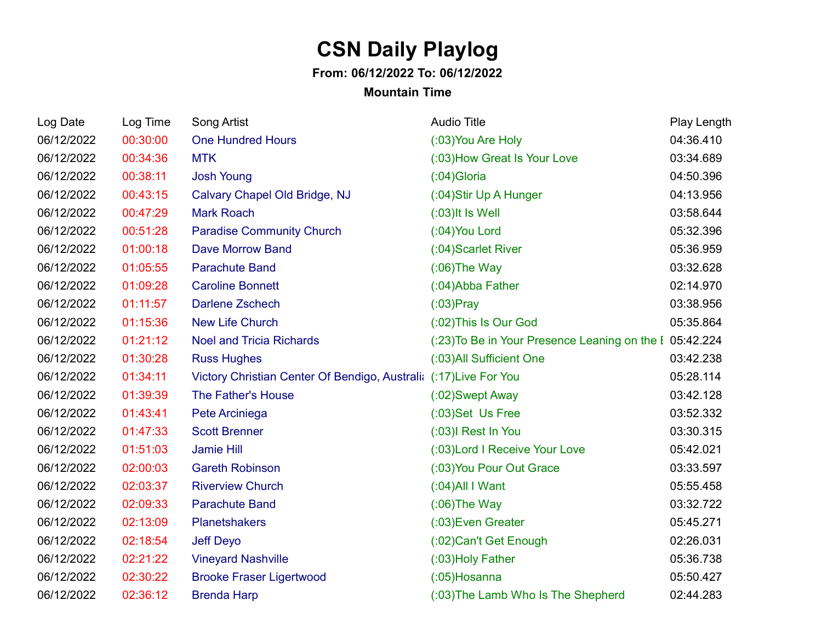## **CSN Daily Playlog**

## **From: 06/12/2022 To: 06/12/2022**

## **Mountain Time**

| Log Date   | Log Time | Song Artist                                                       | <b>Audio Title</b>                                      | Play Length |
|------------|----------|-------------------------------------------------------------------|---------------------------------------------------------|-------------|
| 06/12/2022 | 00:30:00 | <b>One Hundred Hours</b>                                          | (:03) You Are Holy                                      | 04:36.410   |
| 06/12/2022 | 00:34:36 | <b>MTK</b>                                                        | (:03) How Great Is Your Love                            | 03:34.689   |
| 06/12/2022 | 00:38:11 | <b>Josh Young</b>                                                 | $(0.04)$ Gloria                                         | 04:50.396   |
| 06/12/2022 | 00:43:15 | Calvary Chapel Old Bridge, NJ                                     | (:04)Stir Up A Hunger                                   | 04:13.956   |
| 06/12/2022 | 00:47:29 | <b>Mark Roach</b>                                                 | $(0.03)$ It Is Well                                     | 03:58.644   |
| 06/12/2022 | 00:51:28 | <b>Paradise Community Church</b>                                  | (:04) You Lord                                          | 05:32.396   |
| 06/12/2022 | 01:00:18 | <b>Dave Morrow Band</b>                                           | (:04) Scarlet River                                     | 05:36.959   |
| 06/12/2022 | 01:05:55 | <b>Parachute Band</b>                                             | $(0.06)$ The Way                                        | 03:32.628   |
| 06/12/2022 | 01:09:28 | <b>Caroline Bonnett</b>                                           | (:04) Abba Father                                       | 02:14.970   |
| 06/12/2022 | 01:11:57 | <b>Darlene Zschech</b>                                            | $(03)$ Pray                                             | 03:38.956   |
| 06/12/2022 | 01:15:36 | <b>New Life Church</b>                                            | (:02) This Is Our God                                   | 05:35.864   |
| 06/12/2022 | 01:21:12 | <b>Noel and Tricia Richards</b>                                   | (:23) To Be in Your Presence Leaning on the I 05:42.224 |             |
| 06/12/2022 | 01:30:28 | <b>Russ Hughes</b>                                                | (:03) All Sufficient One                                | 03:42.238   |
| 06/12/2022 | 01:34:11 | Victory Christian Center Of Bendigo, Australia (:17) Live For You |                                                         | 05:28.114   |
| 06/12/2022 | 01:39:39 | The Father's House                                                | (:02) Swept Away                                        | 03:42.128   |
| 06/12/2022 | 01:43:41 | Pete Arciniega                                                    | (:03)Set Us Free                                        | 03:52.332   |
| 06/12/2022 | 01:47:33 | <b>Scott Brenner</b>                                              | (:03)I Rest In You                                      | 03:30.315   |
| 06/12/2022 | 01:51:03 | <b>Jamie Hill</b>                                                 | (:03) Lord I Receive Your Love                          | 05:42.021   |
| 06/12/2022 | 02:00:03 | <b>Gareth Robinson</b>                                            | (:03) You Pour Out Grace                                | 03:33.597   |
| 06/12/2022 | 02:03:37 | <b>Riverview Church</b>                                           | $(0.04)$ All I Want                                     | 05:55.458   |
| 06/12/2022 | 02:09:33 | <b>Parachute Band</b>                                             | $(0.06)$ The Way                                        | 03:32.722   |
| 06/12/2022 | 02:13:09 | <b>Planetshakers</b>                                              | (:03) Even Greater                                      | 05:45.271   |
| 06/12/2022 | 02:18:54 | <b>Jeff Deyo</b>                                                  | (:02) Can't Get Enough                                  | 02:26.031   |
| 06/12/2022 | 02:21:22 | <b>Vineyard Nashville</b>                                         | (:03) Holy Father                                       | 05:36.738   |
| 06/12/2022 | 02:30:22 | <b>Brooke Fraser Ligertwood</b>                                   | $(0.05)$ Hosanna                                        | 05:50.427   |
| 06/12/2022 | 02:36:12 | <b>Brenda Harp</b>                                                | (:03) The Lamb Who Is The Shepherd                      | 02:44.283   |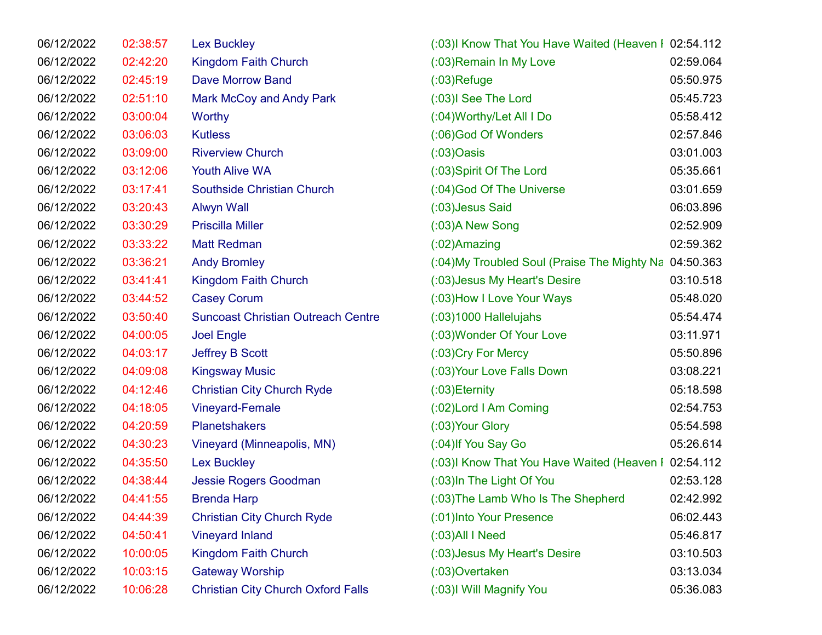| 06/12/2022 | 02:38:57 | <b>Lex Buckley</b>                        | (:03) Know That You Have Waited (Heaven I 02:54.112  |           |
|------------|----------|-------------------------------------------|------------------------------------------------------|-----------|
| 06/12/2022 | 02:42:20 | <b>Kingdom Faith Church</b>               | (:03) Remain In My Love                              | 02:59.064 |
| 06/12/2022 | 02:45:19 | <b>Dave Morrow Band</b>                   | $(03)$ Refuge                                        | 05:50.975 |
| 06/12/2022 | 02:51:10 | Mark McCoy and Andy Park                  | (:03)I See The Lord                                  | 05:45.723 |
| 06/12/2022 | 03:00:04 | <b>Worthy</b>                             | (:04) Worthy/Let All I Do                            | 05:58.412 |
| 06/12/2022 | 03:06:03 | <b>Kutless</b>                            | (:06)God Of Wonders                                  | 02:57.846 |
| 06/12/2022 | 03:09:00 | <b>Riverview Church</b>                   | $(03)$ Oasis                                         | 03:01.003 |
| 06/12/2022 | 03:12:06 | <b>Youth Alive WA</b>                     | (:03) Spirit Of The Lord                             | 05:35.661 |
| 06/12/2022 | 03:17:41 | <b>Southside Christian Church</b>         | (:04) God Of The Universe                            | 03:01.659 |
| 06/12/2022 | 03:20:43 | <b>Alwyn Wall</b>                         | (:03) Jesus Said                                     | 06:03.896 |
| 06/12/2022 | 03:30:29 | <b>Priscilla Miller</b>                   | (:03) A New Song                                     | 02:52.909 |
| 06/12/2022 | 03:33:22 | <b>Matt Redman</b>                        | $(02)$ Amazing                                       | 02:59.362 |
| 06/12/2022 | 03:36:21 | <b>Andy Bromley</b>                       | (:04) My Troubled Soul (Praise The Mighty Na         | 04:50.363 |
| 06/12/2022 | 03:41:41 | <b>Kingdom Faith Church</b>               | (:03) Jesus My Heart's Desire                        | 03:10.518 |
| 06/12/2022 | 03:44:52 | <b>Casey Corum</b>                        | (:03) How I Love Your Ways                           | 05:48.020 |
| 06/12/2022 | 03:50:40 | <b>Suncoast Christian Outreach Centre</b> | $(03)1000$ Hallelujahs                               | 05:54.474 |
| 06/12/2022 | 04:00:05 | <b>Joel Engle</b>                         | (:03) Wonder Of Your Love                            | 03:11.971 |
| 06/12/2022 | 04:03:17 | <b>Jeffrey B Scott</b>                    | (:03) Cry For Mercy                                  | 05:50.896 |
| 06/12/2022 | 04:09:08 | <b>Kingsway Music</b>                     | (:03) Your Love Falls Down                           | 03:08.221 |
| 06/12/2022 | 04:12:46 | <b>Christian City Church Ryde</b>         | $(0.03)$ Eternity                                    | 05:18.598 |
| 06/12/2022 | 04:18:05 | Vineyard-Female                           | (:02) Lord I Am Coming                               | 02:54.753 |
| 06/12/2022 | 04:20:59 | <b>Planetshakers</b>                      | (:03) Your Glory                                     | 05:54.598 |
| 06/12/2022 | 04:30:23 | Vineyard (Minneapolis, MN)                | (:04) If You Say Go                                  | 05:26.614 |
| 06/12/2022 | 04:35:50 | <b>Lex Buckley</b>                        | (:03)I Know That You Have Waited (Heaven I 02:54.112 |           |
| 06/12/2022 | 04:38:44 | <b>Jessie Rogers Goodman</b>              | (:03) In The Light Of You                            | 02:53.128 |
| 06/12/2022 | 04:41:55 | <b>Brenda Harp</b>                        | (:03) The Lamb Who Is The Shepherd                   | 02:42.992 |
| 06/12/2022 | 04:44:39 | <b>Christian City Church Ryde</b>         | (:01) Into Your Presence                             | 06:02.443 |
| 06/12/2022 | 04:50:41 | <b>Vineyard Inland</b>                    | $(03)$ All I Need                                    | 05:46.817 |
| 06/12/2022 | 10:00:05 | <b>Kingdom Faith Church</b>               | (:03) Jesus My Heart's Desire                        | 03:10.503 |
| 06/12/2022 | 10:03:15 | <b>Gateway Worship</b>                    | $(0.03)$ Overtaken                                   | 03:13.034 |
| 06/12/2022 | 10:06:28 | <b>Christian City Church Oxford Falls</b> | (:03)I Will Magnify You                              | 05:36.083 |
|            |          |                                           |                                                      |           |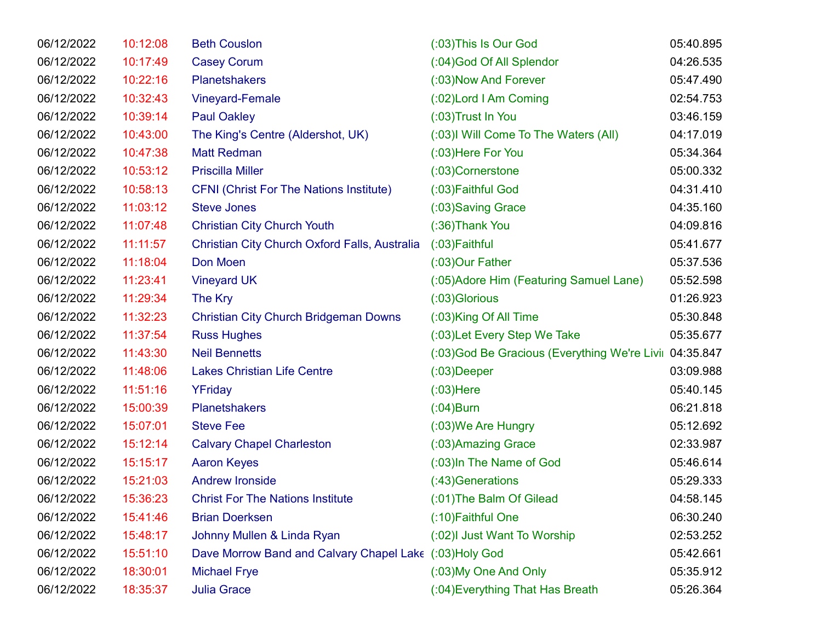| 06/12/2022 | 10:12:08 | <b>Beth Couslon</b>                                    | (:03) This Is Our God                                   | 05:40.895 |
|------------|----------|--------------------------------------------------------|---------------------------------------------------------|-----------|
| 06/12/2022 | 10:17:49 | <b>Casey Corum</b>                                     | (:04) God Of All Splendor                               | 04:26.535 |
| 06/12/2022 | 10:22:16 | <b>Planetshakers</b>                                   | (:03) Now And Forever                                   | 05:47.490 |
| 06/12/2022 | 10:32:43 | <b>Vineyard-Female</b>                                 | (:02) Lord I Am Coming                                  | 02:54.753 |
| 06/12/2022 | 10:39:14 | <b>Paul Oakley</b>                                     | $(0.03)$ Trust In You                                   | 03:46.159 |
| 06/12/2022 | 10:43:00 | The King's Centre (Aldershot, UK)                      | (:03) Will Come To The Waters (All)                     | 04:17.019 |
| 06/12/2022 | 10:47:38 | <b>Matt Redman</b>                                     | (:03) Here For You                                      | 05:34.364 |
| 06/12/2022 | 10:53:12 | <b>Priscilla Miller</b>                                | (:03)Cornerstone                                        | 05:00.332 |
| 06/12/2022 | 10:58:13 | <b>CFNI (Christ For The Nations Institute)</b>         | (:03) Faithful God                                      | 04:31.410 |
| 06/12/2022 | 11:03:12 | <b>Steve Jones</b>                                     | (:03) Saving Grace                                      | 04:35.160 |
| 06/12/2022 | 11:07:48 | <b>Christian City Church Youth</b>                     | (:36) Thank You                                         | 04:09.816 |
| 06/12/2022 | 11:11:57 | Christian City Church Oxford Falls, Australia          | (:03) Faithful                                          | 05:41.677 |
| 06/12/2022 | 11:18:04 | Don Moen                                               | (:03)Our Father                                         | 05:37.536 |
| 06/12/2022 | 11:23:41 | <b>Vineyard UK</b>                                     | (:05) Adore Him (Featuring Samuel Lane)                 | 05:52.598 |
| 06/12/2022 | 11:29:34 | The Kry                                                | (:03) Glorious                                          | 01:26.923 |
| 06/12/2022 | 11:32:23 | <b>Christian City Church Bridgeman Downs</b>           | (:03)King Of All Time                                   | 05:30.848 |
| 06/12/2022 | 11:37:54 | <b>Russ Hughes</b>                                     | (:03) Let Every Step We Take                            | 05:35.677 |
| 06/12/2022 | 11:43:30 | <b>Neil Bennetts</b>                                   | (:03) God Be Gracious (Everything We're Livil 04:35.847 |           |
| 06/12/2022 | 11:48:06 | <b>Lakes Christian Life Centre</b>                     | $(03)$ Deeper                                           | 03:09.988 |
| 06/12/2022 | 11:51:16 | YFriday                                                | $(03)$ Here                                             | 05:40.145 |
| 06/12/2022 | 15:00:39 | <b>Planetshakers</b>                                   | $(0.04)$ Burn                                           | 06:21.818 |
| 06/12/2022 | 15:07:01 | <b>Steve Fee</b>                                       | (:03) We Are Hungry                                     | 05:12.692 |
| 06/12/2022 | 15:12:14 | <b>Calvary Chapel Charleston</b>                       | (:03) Amazing Grace                                     | 02:33.987 |
| 06/12/2022 | 15:15:17 | <b>Aaron Keyes</b>                                     | (:03) In The Name of God                                | 05:46.614 |
| 06/12/2022 | 15:21:03 | <b>Andrew Ironside</b>                                 | (:43) Generations                                       | 05:29.333 |
| 06/12/2022 | 15:36:23 | <b>Christ For The Nations Institute</b>                | (:01) The Balm Of Gilead                                | 04:58.145 |
| 06/12/2022 | 15:41:46 | <b>Brian Doerksen</b>                                  | (:10) Faithful One                                      | 06:30.240 |
| 06/12/2022 | 15:48:17 | Johnny Mullen & Linda Ryan                             | (:02) Just Want To Worship                              | 02:53.252 |
| 06/12/2022 | 15:51:10 | Dave Morrow Band and Calvary Chapel Lake (:03)Holy God |                                                         | 05:42.661 |
| 06/12/2022 | 18:30:01 | <b>Michael Frye</b>                                    | (:03) My One And Only                                   | 05:35.912 |
| 06/12/2022 | 18:35:37 | <b>Julia Grace</b>                                     | (:04) Everything That Has Breath                        | 05:26.364 |